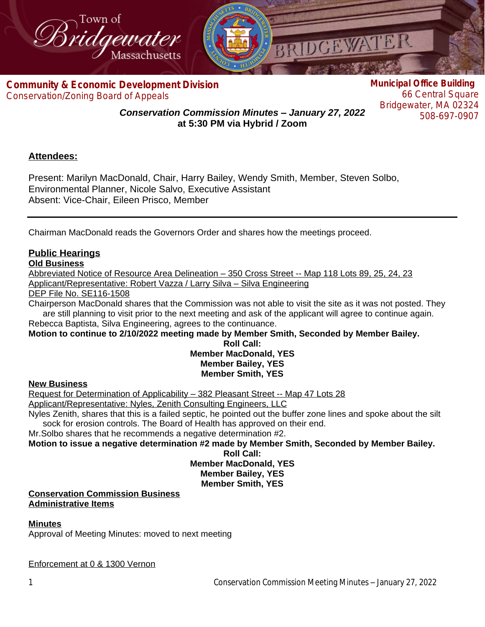

**Com[munity & Economic Development Division](http://www.bridgewaterma.org/)** Conservation/Zoning Board of Appeals

**Municipal Office Building** 66 Central Square Bridgewater, MA 02324 508-697-0907

*Conservation Commission Minutes – January 27, 2022* **at 5:30 PM via Hybrid / Zoom**

# **Attendees:**

Present: Marilyn MacDonald, Chair, Harry Bailey, Wendy Smith, Member, Steven Solbo, Environmental Planner, Nicole Salvo, Executive Assistant Absent: Vice-Chair, Eileen Prisco, Member

Chairman MacDonald reads the Governors Order and shares how the meetings proceed.

# **Public Hearings**

# **Old Business**

Abbreviated Notice of Resource Area Delineation – 350 Cross Street -- Map 118 Lots 89, 25, 24, 23 Applicant/Representative: Robert Vazza / Larry Silva – Silva Engineering

DEP File No. SE116-1508

Chairperson MacDonald shares that the Commission was not able to visit the site as it was not posted. They are still planning to visit prior to the next meeting and ask of the applicant will agree to continue again.

Rebecca Baptista, Silva Engineering, agrees to the continuance.

**Motion to continue to 2/10/2022 meeting made by Member Smith, Seconded by Member Bailey.**

#### **Roll Call: Member MacDonald, YES Member Bailey, YES Member Smith, YES**

# **New Business**

Request for Determination of Applicability – 382 Pleasant Street -- Map 47 Lots 28 Applicant/Representative: Nyles, Zenith Consulting Engineers, LLC Nyles Zenith, shares that this is a failed septic, he pointed out the buffer zone lines and spoke about the silt

sock for erosion controls. The Board of Health has approved on their end.

Mr.Solbo shares that he recommends a negative determination #2.

**Motion to issue a negative determination #2 made by Member Smith, Seconded by Member Bailey.**

**Roll Call:**

**Member MacDonald, YES Member Bailey, YES**

**Member Smith, YES**

#### **Conservation Commission Business Administrative Items**

# **Minutes**

Approval of Meeting Minutes: moved to next meeting

Enforcement at 0 & 1300 Vernon